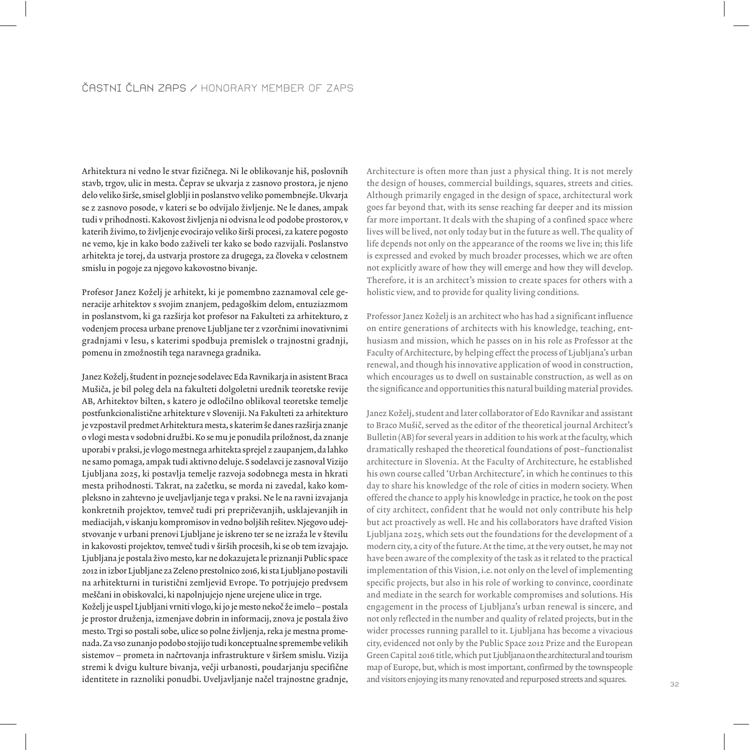Arhitektura ni vedno le stvar fizičnega. Ni le oblikovanje hiš, poslovnih stavb, trgov, ulic in mesta. Čeprav se ukvarja z zasnovo prostora, je njeno delo veliko širše, smisel globlji in poslanstvo veliko pomembnejše. Ukvarja se z zasnovo posode, v kateri se bo odvijalo življenje. Ne le danes, ampak tudi v prihodnosti. Kakovost življenja ni odvisna le od podobe prostorov, v katerih živimo, to življenje evocirajo veliko širši procesi, za katere pogosto ne vemo, kje in kako bodo zaživeli ter kako se bodo razvijali. Poslanstvo arhitekta je torej, da ustvarja prostore za drugega, za človeka v celostnem smislu in pogoje za njegovo kakovostno bivanje.

Profesor Janez Koželj je arhitekt, ki je pomembno zaznamoval cele generacije arhitektov s svojim znanjem, pedagoškim delom, entuziazmom in poslanstvom, ki ga razširja kot profesor na Fakulteti za arhitekturo, z vodenjem procesa urbane prenove Ljubljane ter z vzorčnimi inovativnimi gradnjami v lesu, s katerimi spodbuja premislek o trajnostni gradnji, pomenu in zmožnostih tega naravnega gradnika.

Janez Koželj, študent in pozneje sodelavec Eda Ravnikarja in asistent Braca Mušiča, je bil poleg dela na fakulteti dolgoletni urednik teoretske revije AB, Arhitektov bilten, s katero je odločilno oblikoval teoretske temelje postfunkcionalistične arhitekture v Sloveniji. Na Fakulteti za arhitekturo je vzpostavil predmet Arhitektura mesta, s katerim še danes razširja znanje o vlogi mesta v sodobni družbi. Ko se mu je ponudila priložnost, da znanje uporabi v praksi, je vlogo mestnega arhitekta sprejel z zaupanjem, da lahko ne samo pomaga, ampak tudi aktivno deluje. S sodelavci je zasnoval Vizijo Ljubljana 2025, ki postavlja temelje razvoja sodobnega mesta in hkrati mesta prihodnosti. Takrat, na začetku, se morda ni zavedal, kako kompleksno in zahtevno je uveljavljanje tega v praksi. Ne le na ravni izvajanja konkretnih projektov, temveč tudi pri prepričevanjih, usklajevanjih in mediacijah, v iskanju kompromisov in vedno boljših rešitev. Njegovo udejstvovanje v urbani prenovi Ljubljane je iskreno ter se ne izraža le v številu in kakovosti projektov, temveč tudi v širših procesih, ki se ob tem izvajajo. Ljubljana je postala Ωivo mesto, kar ne dokazujeta le priznanji Public space 2012 in izbor Ljubljane za Zeleno prestolnico 2016, ki sta Ljubljano postavili na arhitekturni in turistični zemljevid Evrope. To potrjujejo predvsem meščani in obiskovalci, ki napolnjujejo njene urejene ulice in trge.

Koželj je uspel Ljubljani vrniti vlogo, ki jo je mesto nekoč že imelo – postala je prostor druženja, izmenjave dobrin in informacij, znova je postala živo mesto. Trgi so postali sobe, ulice so polne življenja, reka je mestna promenada. Za vso zunanjo podobo stojijo tudi konceptualne spremembe velikih sistemov – prometa in načrtovanja infrastrukture v širšem smislu. Vizija stremi k dvigu kulture bivanja, večji urbanosti, poudarjanju specifične identitete in raznoliki ponudbi. Uveljavljanje načel trajnostne gradnje, and visitors enjoying its many renovated and repurposed streets and squares.

Architecture is often more than just a physical thing. It is not merely the design of houses, commercial buildings, squares, streets and cities. Although primarily engaged in the design of space, architectural work goes far beyond that, with its sense reaching far deeper and its mission far more important. It deals with the shaping of a confined space where lives will be lived, not only today but in the future as well. The quality of life depends not only on the appearance of the rooms we live in; this life is expressed and evoked by much broader processes, which we are often not explicitly aware of how they will emerge and how they will develop. Therefore, it is an architect's mission to create spaces for others with a holistic view, and to provide for quality living conditions.

Professor Janez Koželj is an architect who has had a significant influence on entire generations of architects with his knowledge, teaching, enthusiasm and mission, which he passes on in his role as Professor at the Faculty of Architecture, by helping effect the process of Ljubljana's urban renewal, and though his innovative application of wood in construction, which encourages us to dwell on sustainable construction, as well as on the significance and opportunities this natural building material provides.

Janez Koželj, student and later collaborator of Edo Ravnikar and assistant to Braco Mušič, served as the editor of the theoretical journal Architect's Bulletin (AB) for several years in addition to his work at the faculty, which dramatically reshaped the theoretical foundations of post–functionalist architecture in Slovenia. At the Faculty of Architecture, he established his own course called 'Urban Architecture', in which he continues to this day to share his knowledge of the role of cities in modern society. When offered the chance to apply his knowledge in practice, he took on the post of city architect, confident that he would not only contribute his help but act proactively as well. He and his collaborators have drafted Vision Ljubljana 2025, which sets out the foundations for the development of a modern city, a city of the future. At the time, at the very outset, he may not have been aware of the complexity of the task as it related to the practical implementation of this Vision, i.e. not only on the level of implementing specific projects, but also in his role of working to convince, coordinate and mediate in the search for workable compromises and solutions. His engagement in the process of Ljubljana's urban renewal is sincere, and not only reflected in the number and quality of related projects, but in the wider processes running parallel to it. Ljubljana has become a vivacious city, evidenced not only by the Public Space 2012 Prize and the European Green Capital 2016 title, which put Ljubljana on the architectural and tourism map of Europe, but, which is most important, confirmed by the townspeople and visitors enjoying its many renovated and repurposed streets and squares.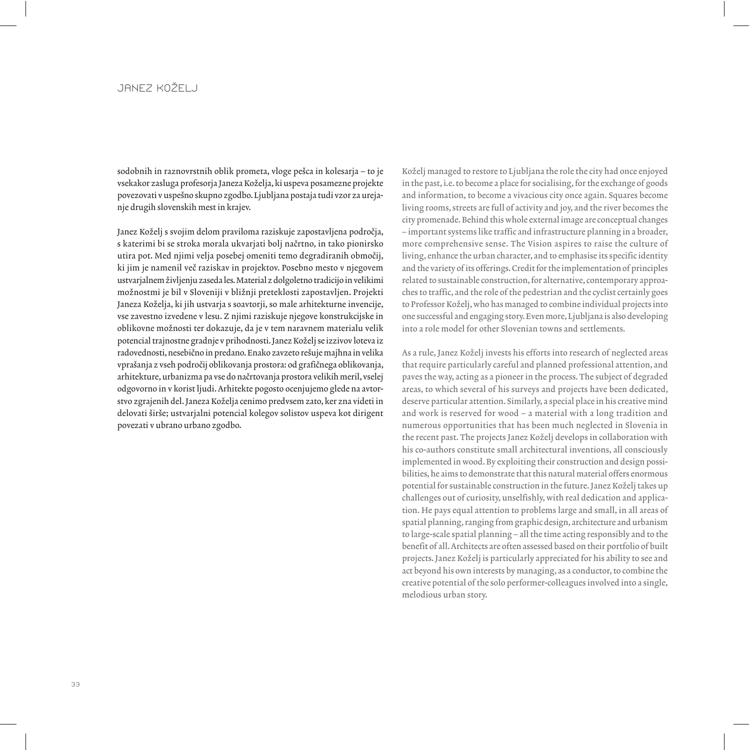## JANEZ KOŽELJ

sodobnih in raznovrstnih oblik prometa, vloge pešca in kolesarja – to je vsekakor zasluga profesorja Janeza Koželja, ki uspeva posamezne projekte povezovati v uspešno skupno zgodbo. Ljubljana postaja tudi vzor za urejanje drugih slovenskih mest in krajev.

Janez Koželj s svojim delom praviloma raziskuje zapostavljena področja, s katerimi bi se stroka morala ukvarjati bolj načrtno, in tako pionirsko utira pot. Med njimi velja posebej omeniti temo degradiranih območij, ki jim je namenil več raziskav in projektov. Posebno mesto v njegovem ustvarjalnem življenju zaseda les. Material z dolgoletno tradicijo in velikimi možnostmi je bil v Sloveniji v bližnji preteklosti zapostavljen. Projekti Janeza Koželja, ki jih ustvarja s soavtorji, so male arhitekturne invencije, vse zavestno izvedene v lesu. Z njimi raziskuje njegove konstrukcijske in oblikovne možnosti ter dokazuje, da je v tem naravnem materialu velik potencial trajnostne gradnje v prihodnosti. Janez Koželj se izzivov loteva iz radovednosti, nesebično in predano. Enako zavzeto rešuje majhna in velika vprašanja z vseh področij oblikovanja prostora: od grafičnega oblikovanja, arhitekture, urbanizma pa vse do načrtovanja prostora velikih meril, vselej odgovorno in v korist ljudi. Arhitekte pogosto ocenjujemo glede na avtorstvo zgrajenih del. Janeza Koželja cenimo predvsem zato, ker zna videti in delovati širše; ustvarjalni potencial kolegov solistov uspeva kot dirigent povezati v ubrano urbano zgodbo.

Koželj managed to restore to Ljubljana the role the city had once enjoyed in the past, i.e. to become a place for socialising, for the exchange of goods and information, to become a vivacious city once again. Squares become living rooms, streets are full of activity and joy, and the river becomes the city promenade. Behind this whole external image are conceptual changes – important systems like traffic and infrastructure planning in a broader, more comprehensive sense. The Vision aspires to raise the culture of living, enhance the urban character, and to emphasise its specific identity and the variety of its offerings. Credit for the implementation of principles related to sustainable construction, for alternative, contemporary approaches to traffic, and the role of the pedestrian and the cyclist certainly goes to Professor Koželj, who has managed to combine individual projects into one successful and engaging story. Even more, Ljubljana is also developing into a role model for other Slovenian towns and settlements.

As a rule, Janez Koželj invests his efforts into research of neglected areas that require particularly careful and planned professional attention, and paves the way, acting as a pioneer in the process. The subject of degraded areas, to which several of his surveys and projects have been dedicated, deserve particular attention. Similarly, a special place in his creative mind and work is reserved for wood – a material with a long tradition and numerous opportunities that has been much neglected in Slovenia in the recent past. The projects Janez Koželj develops in collaboration with his co-authors constitute small architectural inventions, all consciously implemented in wood. By exploiting their construction and design possibilities, he aims to demonstrate that this natural material offers enormous potential for sustainable construction in the future. Janez Koželj takes up challenges out of curiosity, unselfishly, with real dedication and application. He pays equal attention to problems large and small, in all areas of spatial planning, ranging from graphic design, architecture and urbanism to large-scale spatial planning – all the time acting responsibly and to the benefit of all. Architects are often assessed based on their portfolio of built projects. Janez Koželj is particularly appreciated for his ability to see and act beyond his own interests by managing, as a conductor, to combine the creative potential of the solo performer-colleagues involved into a single, melodious urban story.